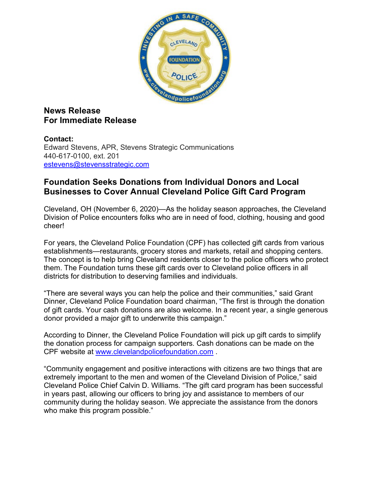

## **News Release For Immediate Release**

## **Contact:**

Edward Stevens, APR, Stevens Strategic Communications 440-617-0100, ext. 201 [estevens@stevensstrategic.com](mailto:estevens@stevensstrategic.com)

## **Foundation Seeks Donations from Individual Donors and Local Businesses to Cover Annual Cleveland Police Gift Card Program**

Cleveland, OH (November 6, 2020)—As the holiday season approaches, the Cleveland Division of Police encounters folks who are in need of food, clothing, housing and good cheer!

For years, the Cleveland Police Foundation (CPF) has collected gift cards from various establishments—restaurants, grocery stores and markets, retail and shopping centers. The concept is to help bring Cleveland residents closer to the police officers who protect them. The Foundation turns these gift cards over to Cleveland police officers in all districts for distribution to deserving families and individuals.

"There are several ways you can help the police and their communities," said Grant Dinner, Cleveland Police Foundation board chairman, "The first is through the donation of gift cards. Your cash donations are also welcome. In a recent year, a single generous donor provided a major gift to underwrite this campaign."

According to Dinner, the Cleveland Police Foundation will pick up gift cards to simplify the donation process for campaign supporters. Cash donations can be made on the CPF website at [www.clevelandpolicefoundation.com](http://www.clevelandpolicefoundation.com/) .

"Community engagement and positive interactions with citizens are two things that are extremely important to the men and women of the Cleveland Division of Police," said Cleveland Police Chief Calvin D. Williams. "The gift card program has been successful in years past, allowing our officers to bring joy and assistance to members of our community during the holiday season. We appreciate the assistance from the donors who make this program possible."